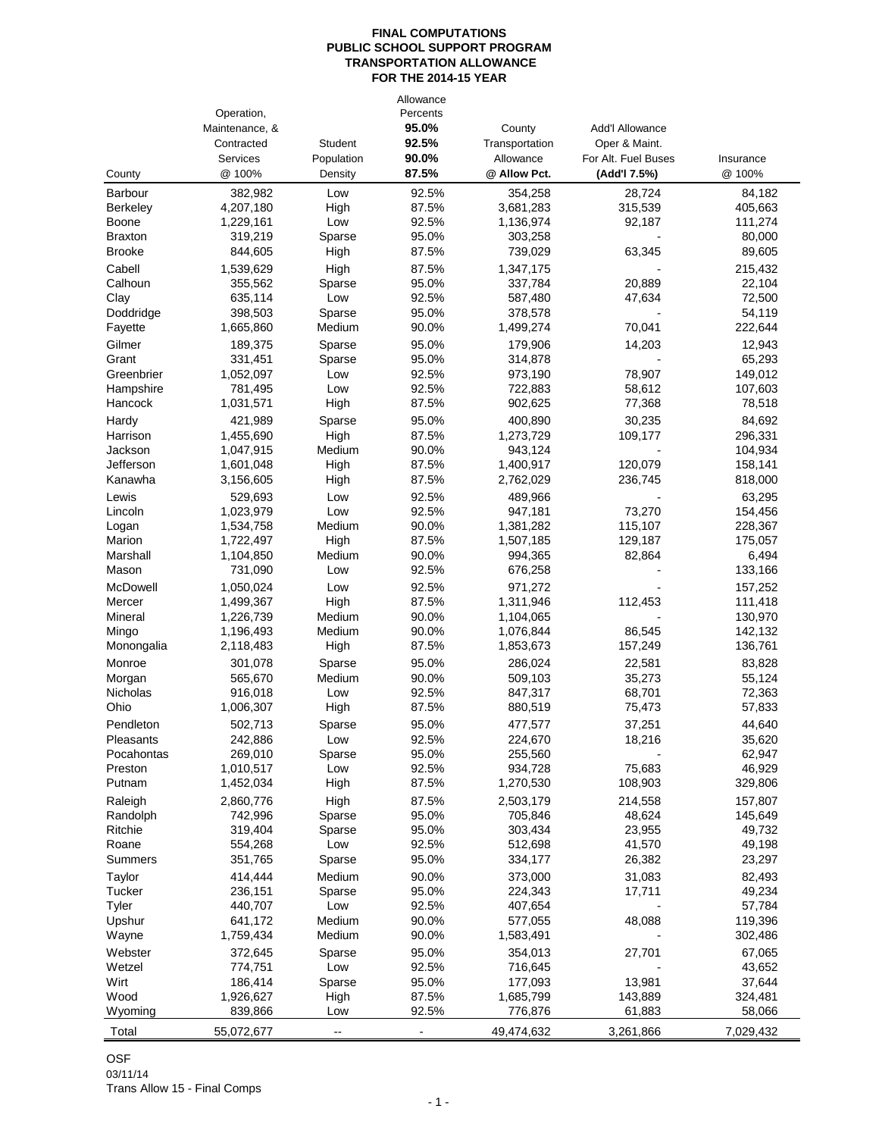|                     | Operation,             |                              | Allowance<br>Percents |                             |                                      |                    |
|---------------------|------------------------|------------------------------|-----------------------|-----------------------------|--------------------------------------|--------------------|
|                     | Maintenance, &         |                              | 95.0%                 | County                      | <b>Add'I Allowance</b>               |                    |
|                     | Contracted<br>Services | <b>Student</b><br>Population | 92.5%<br>90.0%        | Transportation<br>Allowance | Oper & Maint.<br>For Alt. Fuel Buses | Insurance          |
| County              | @ 100%                 | Density                      | 87.5%                 | @ Allow Pct.                | (Add'l 7.5%)                         | @ 100%             |
| <b>Barbour</b>      | 382,982                | Low                          | 92.5%                 | 354,258                     | 28,724                               | 84,182             |
| <b>Berkeley</b>     | 4,207,180              | High                         | 87.5%                 | 3,681,283                   | 315,539                              | 405,663            |
| Boone               | 1,229,161              | Low                          | 92.5%                 | 1,136,974                   | 92,187                               | 111,274            |
| <b>Braxton</b>      | 319,219                | Sparse                       | 95.0%                 | 303,258                     |                                      | 80,000             |
| <b>Brooke</b>       | 844,605                | High                         | 87.5%                 | 739,029                     | 63,345                               | 89,605             |
| Cabell              | 1,539,629              | High                         | 87.5%                 | 1,347,175                   |                                      | 215,432            |
| Calhoun             | 355.562                | Sparse                       | 95.0%                 | 337,784                     | 20,889                               | 22.104             |
| Clay                | 635,114                | Low                          | 92.5%                 | 587,480                     | 47,634                               | 72,500             |
| Doddridge           | 398,503                | Sparse                       | 95.0%                 | 378,578                     |                                      | 54,119             |
| Fayette             | 1,665,860              | Medium                       | 90.0%                 | 1,499,274                   | 70,041                               | 222,644            |
| Gilmer              | 189,375                | Sparse                       | 95.0%                 | 179,906                     | 14,203                               | 12,943             |
| Grant               | 331,451                | Sparse                       | 95.0%                 | 314,878                     |                                      | 65,293             |
| Greenbrier          | 1,052,097              | Low                          | 92.5%                 | 973,190                     | 78,907                               | 149,012            |
| Hampshire           | 781,495<br>1,031,571   | Low                          | 92.5%<br>87.5%        | 722,883<br>902,625          | 58,612<br>77,368                     | 107,603            |
| Hancock             |                        | High                         |                       |                             |                                      | 78,518             |
| Hardy               | 421.989                | Sparse                       | 95.0%<br>87.5%        | 400,890                     | 30,235<br>109,177                    | 84,692             |
| Harrison<br>Jackson | 1,455,690<br>1,047,915 | High<br>Medium               | 90.0%                 | 1,273,729<br>943,124        |                                      | 296,331<br>104,934 |
| Jefferson           | 1,601,048              | High                         | 87.5%                 | 1,400,917                   | 120,079                              | 158,141            |
| Kanawha             | 3,156,605              | High                         | 87.5%                 | 2,762,029                   | 236,745                              | 818,000            |
| Lewis               | 529,693                | Low                          | 92.5%                 | 489,966                     |                                      | 63,295             |
| Lincoln             | 1,023,979              | Low                          | 92.5%                 | 947,181                     | 73,270                               | 154,456            |
| Logan               | 1,534,758              | Medium                       | 90.0%                 | 1,381,282                   | 115,107                              | 228,367            |
| Marion              | 1,722,497              | High                         | 87.5%                 | 1,507,185                   | 129,187                              | 175,057            |
| Marshall            | 1,104,850              | Medium                       | 90.0%                 | 994,365                     | 82,864                               | 6,494              |
| Mason               | 731,090                | Low                          | 92.5%                 | 676,258                     |                                      | 133,166            |
| <b>McDowell</b>     | 1,050,024              | Low                          | 92.5%                 | 971,272                     |                                      | 157,252            |
| Mercer              | 1,499,367              | High                         | 87.5%                 | 1,311,946                   | 112,453                              | 111,418            |
| Mineral             | 1,226,739              | Medium                       | 90.0%                 | 1,104,065                   |                                      | 130,970            |
| Mingo               | 1,196,493              | Medium                       | 90.0%                 | 1,076,844                   | 86,545                               | 142,132            |
| Monongalia          | 2,118,483              | High                         | 87.5%                 | 1,853,673                   | 157,249                              | 136,761            |
| Monroe              | 301,078                | Sparse                       | 95.0%                 | 286,024                     | 22,581                               | 83,828             |
| Morgan              | 565,670                | Medium                       | 90.0%                 | 509,103                     | 35,273                               | 55,124             |
| Nicholas            | 916,018                | Low                          | 92.5%                 | 847,317                     | 68,701                               | 72,363             |
| Ohio                | 1,006,307              | High                         | 87.5%                 | 880,519                     | 75,473                               | 57,833             |
| Pendleton           | 502,713                | Sparse                       | 95.0%                 | 477,577                     | 37,251                               | 44.640             |
| Pleasants           | 242,886                | Low                          | 92.5%                 | 224,670                     | 18,216                               | 35,620             |
| Pocahontas          | 269,010<br>1,010,517   | Sparse                       | 95.0%<br>92.5%        | 255,560                     | 75,683                               | 62,947<br>46,929   |
| Preston<br>Putnam   | 1,452,034              | Low<br>High                  | 87.5%                 | 934,728<br>1,270,530        | 108,903                              | 329,806            |
|                     | 2,860,776              |                              | 87.5%                 |                             | 214,558                              | 157,807            |
| Raleigh<br>Randolph | 742,996                | High<br>Sparse               | 95.0%                 | 2,503,179<br>705,846        | 48,624                               | 145,649            |
| Ritchie             | 319,404                | Sparse                       | 95.0%                 | 303,434                     | 23,955                               | 49,732             |
| Roane               | 554,268                | Low                          | 92.5%                 | 512,698                     | 41,570                               | 49,198             |
| Summers             | 351,765                | Sparse                       | 95.0%                 | 334,177                     | 26,382                               | 23,297             |
| Taylor              | 414,444                | Medium                       | 90.0%                 | 373,000                     | 31,083                               | 82,493             |
| Tucker              | 236,151                | Sparse                       | 95.0%                 | 224,343                     | 17,711                               | 49,234             |
| Tyler               | 440,707                | Low                          | 92.5%                 | 407,654                     |                                      | 57,784             |
| Upshur              | 641,172                | Medium                       | 90.0%                 | 577,055                     | 48,088                               | 119,396            |
| Wayne               | 1,759,434              | Medium                       | 90.0%                 | 1,583,491                   |                                      | 302,486            |
| Webster             | 372,645                | Sparse                       | 95.0%                 | 354,013                     | 27,701                               | 67,065             |
| Wetzel              | 774,751                | Low                          | 92.5%                 | 716,645                     |                                      | 43,652             |
| Wirt                | 186,414                | Sparse                       | 95.0%                 | 177,093                     | 13,981                               | 37,644             |
| Wood                | 1,926,627              | High                         | 87.5%                 | 1,685,799                   | 143,889                              | 324,481            |
| Wyoming             | 839,866                | Low                          | 92.5%                 | 776,876                     | 61,883                               | 58,066             |
| Total               | 55,072,677             | $\overline{\phantom{a}}$     | $\overline{a}$        | 49,474,632                  | 3,261,866                            | 7,029,432          |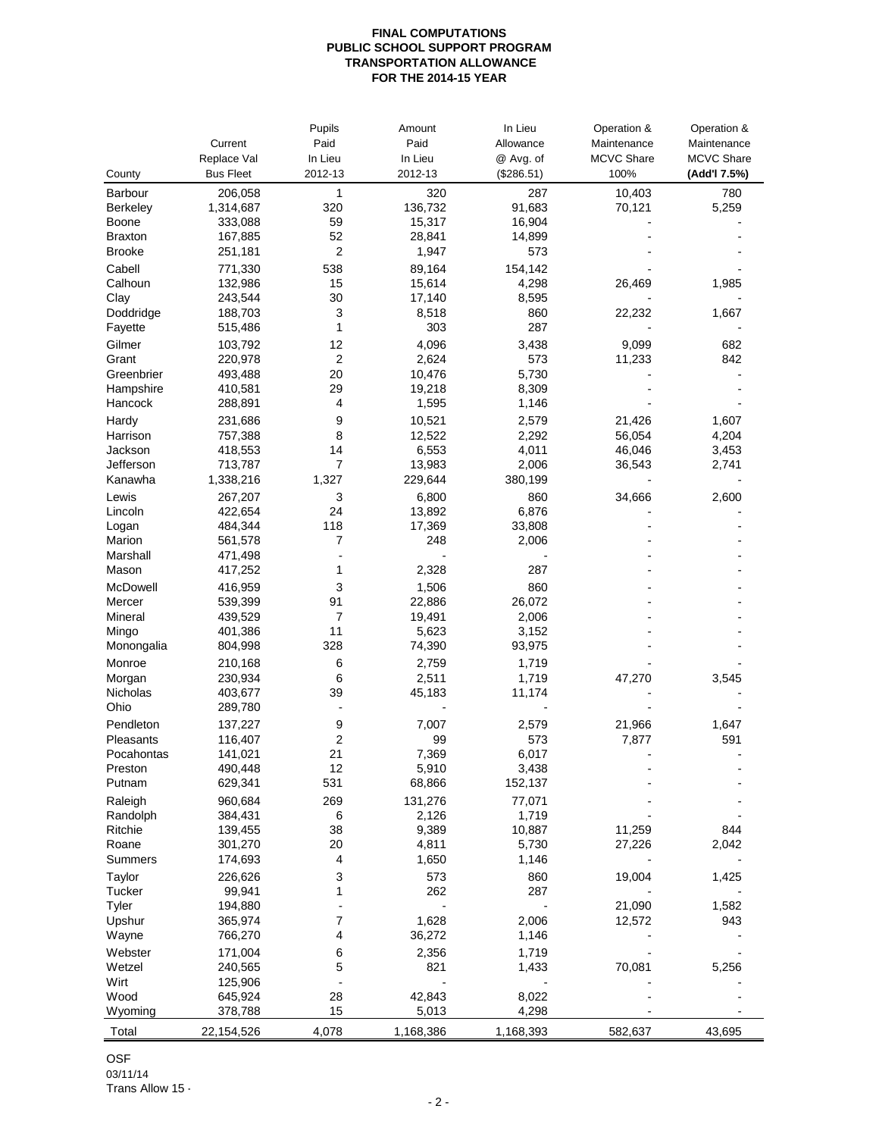|                |                  | Pupils         | Amount    | In Lieu    | Operation &       | Operation &       |
|----------------|------------------|----------------|-----------|------------|-------------------|-------------------|
|                | Current          | Paid           | Paid      | Allowance  | Maintenance       | Maintenance       |
|                | Replace Val      | In Lieu        | In Lieu   | @ Avg. of  | <b>MCVC Share</b> | <b>MCVC Share</b> |
| County         | <b>Bus Fleet</b> | 2012-13        | 2012-13   | (\$286.51) | 100%              | (Add'l 7.5%)      |
| Barbour        | 206,058          | 1              | 320       | 287        | 10,403            | 780               |
| Berkeley       | 1,314,687        | 320            | 136,732   | 91,683     | 70,121            | 5,259             |
| Boone          | 333,088          | 59             | 15,317    | 16,904     |                   |                   |
| <b>Braxton</b> | 167,885          | 52             | 28,841    | 14,899     |                   |                   |
| <b>Brooke</b>  | 251,181          | 2              | 1,947     | 573        |                   |                   |
| Cabell         | 771,330          | 538            | 89,164    | 154,142    |                   |                   |
| Calhoun        | 132,986          | 15             | 15,614    | 4,298      | 26,469            | 1,985             |
| Clay           | 243,544          | 30             | 17,140    | 8,595      |                   |                   |
| Doddridge      | 188,703          | 3              | 8,518     | 860        | 22,232            | 1,667             |
| Fayette        | 515,486          | 1              | 303       | 287        |                   |                   |
| Gilmer         | 103,792          | 12             | 4,096     | 3,438      | 9,099             | 682               |
| Grant          | 220,978          | $\overline{2}$ | 2,624     | 573        | 11,233            | 842               |
| Greenbrier     | 493,488          | 20             | 10,476    | 5,730      |                   |                   |
| Hampshire      | 410,581          | 29             | 19,218    | 8,309      |                   |                   |
| Hancock        | 288,891          | 4              | 1,595     | 1,146      |                   |                   |
| Hardy          | 231,686          | 9              | 10,521    | 2,579      | 21,426            | 1,607             |
| Harrison       | 757,388          | 8              | 12,522    | 2,292      | 56,054            | 4,204             |
| Jackson        | 418,553          | 14             | 6,553     | 4,011      | 46,046            | 3,453             |
| Jefferson      | 713,787          | 7              | 13,983    | 2,006      | 36,543            | 2,741             |
| Kanawha        | 1,338,216        | 1,327          | 229,644   | 380,199    |                   |                   |
| Lewis          | 267,207          | 3              | 6,800     | 860        | 34,666            | 2,600             |
| Lincoln        | 422,654          | 24             | 13,892    | 6,876      |                   |                   |
| Logan          | 484,344          | 118            | 17,369    | 33,808     |                   |                   |
| Marion         | 561,578          | $\overline{7}$ | 248       | 2,006      |                   |                   |
| Marshall       | 471,498          |                |           |            |                   |                   |
| Mason          | 417,252          | 1              | 2,328     | 287        |                   |                   |
| McDowell       | 416,959          | 3              | 1,506     | 860        |                   |                   |
| Mercer         | 539,399          | 91             | 22,886    | 26,072     |                   |                   |
| Mineral        | 439,529          | 7              | 19,491    | 2,006      |                   |                   |
| Mingo          | 401,386          | 11             | 5,623     | 3,152      |                   |                   |
| Monongalia     | 804,998          | 328            | 74,390    | 93,975     |                   |                   |
| Monroe         | 210,168          | 6              | 2,759     | 1,719      |                   |                   |
| Morgan         | 230,934          | 6              | 2,511     | 1,719      | 47,270            | 3,545             |
| Nicholas       | 403,677          | 39             | 45,183    | 11,174     |                   |                   |
| Ohio           | 289,780          | $\overline{a}$ |           |            |                   |                   |
| Pendleton      | 137,227          | 9              | 7,007     | 2,579      | 21,966            | 1,647             |
| Pleasants      | 116,407          | 2              | 99        | 573        | 7,877             | 591               |
| Pocahontas     | 141,021          | 21             | 7,369     | 6,017      |                   |                   |
| Preston        | 490,448          | 12             | 5,910     | 3,438      |                   |                   |
| Putnam         | 629,341          | 531            | 68,866    | 152,137    |                   |                   |
| Raleigh        | 960,684          | 269            | 131,276   | 77,071     |                   |                   |
| Randolph       | 384,431          | 6              | 2,126     | 1,719      |                   |                   |
| Ritchie        | 139,455          | 38             | 9,389     | 10,887     | 11,259            | 844               |
| Roane          | 301,270          | 20             | 4,811     | 5,730      | 27,226            | 2,042             |
| Summers        | 174,693          | 4              | 1,650     | 1,146      |                   |                   |
| Taylor         | 226,626          | 3              | 573       | 860        | 19,004            | 1,425             |
| Tucker         | 99,941           | 1              | 262       | 287        |                   |                   |
| Tyler          | 194,880          |                |           |            | 21,090            | 1,582             |
| Upshur         | 365,974          | 7              | 1,628     | 2,006      | 12,572            | 943               |
| Wayne          | 766,270          | 4              | 36,272    | 1,146      |                   |                   |
| Webster        | 171,004          | 6              | 2,356     | 1,719      |                   |                   |
| Wetzel         | 240,565          | 5              | 821       | 1,433      | 70,081            | 5,256             |
| Wirt           | 125,906          |                |           |            |                   |                   |
| Wood           | 645,924          | 28<br>15       | 42,843    | 8,022      |                   |                   |
| Wyoming        | 378,788          |                | 5,013     | 4,298      |                   |                   |
| Total          | 22,154,526       | 4,078          | 1,168,386 | 1,168,393  | 582,637           | 43,695            |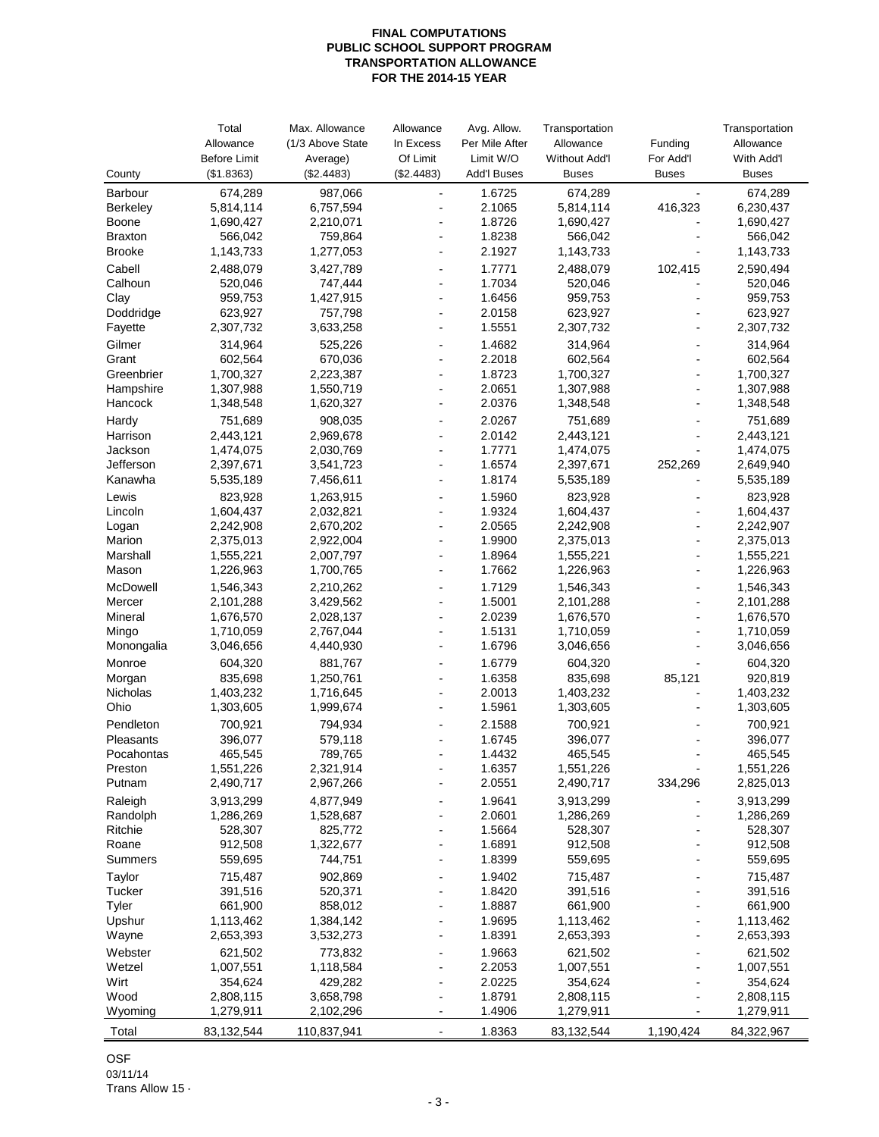| Total<br>Max. Allowance<br>Avg. Allow.<br>Transportation<br>Allowance                                  |                | Transportation       |
|--------------------------------------------------------------------------------------------------------|----------------|----------------------|
| (1/3 Above State<br>Allowance<br>In Excess<br>Per Mile After<br>Allowance                              | Funding        | Allowance            |
| <b>Before Limit</b><br>Of Limit<br>Limit W/O<br>Average)<br><b>Without Add'l</b>                       | For Add'l      | With Add'l           |
| (\$1.8363)<br>(\$2.4483)<br>(\$2.4483)<br><b>Add'l Buses</b><br>County<br><b>Buses</b>                 | <b>Buses</b>   | <b>Buses</b>         |
| 674,289<br>1.6725<br>Barbour<br>987,066<br>674,289<br>$\overline{a}$<br>$\overline{a}$                 | $\blacksquare$ | 674,289              |
| 2.1065<br><b>Berkeley</b><br>5,814,114<br>6,757,594<br>5,814,114<br>1.8726<br>1,690,427<br>2,210,071   | 416,323        | 6,230,437            |
| Boone<br>1,690,427<br>1.8238<br>566,042<br>759,864<br>566,042<br><b>Braxton</b><br>$\overline{a}$      |                | 1,690,427<br>566,042 |
| 1,143,733<br>1,277,053<br>2.1927<br><b>Brooke</b><br>1,143,733<br>÷                                    |                | 1,143,733            |
| 1.7771<br>Cabell<br>2,488,079<br>3,427,789<br>2,488,079                                                | 102,415        | 2,590,494            |
| 1.7034<br>Calhoun<br>520,046<br>747,444<br>520,046                                                     |                | 520,046              |
| Clay<br>959,753<br>1,427,915<br>1.6456<br>959,753<br>÷                                                 |                | 959,753              |
| Doddridge<br>623,927<br>757,798<br>2.0158<br>623,927<br>$\overline{a}$                                 |                | 623,927              |
| 3,633,258<br>1.5551<br>Fayette<br>2,307,732<br>2,307,732<br>÷                                          |                | 2,307,732            |
| 1.4682<br>Gilmer<br>314,964<br>525,226<br>314,964<br>$\overline{a}$                                    |                | 314,964              |
| 2.2018<br>Grant<br>602,564<br>670,036<br>602,564<br>$\overline{a}$                                     |                | 602,564              |
| 1,700,327<br>2,223,387<br>1.8723<br>1,700,327<br>Greenbrier<br>÷                                       |                | 1,700,327            |
| Hampshire<br>2.0651<br>1,307,988<br>1,550,719<br>1,307,988<br>÷                                        | $\blacksquare$ | 1,307,988            |
| 2.0376<br>Hancock<br>1,348,548<br>1,620,327<br>1,348,548                                               |                | 1,348,548            |
| 2.0267<br>Hardy<br>751,689<br>908,035<br>751,689<br>$\blacksquare$                                     |                | 751,689              |
| 2,443,121<br>2,969,678<br>2.0142<br>2,443,121<br>Harrison<br>$\overline{a}$                            |                | 2,443,121            |
| 1.7771<br>Jackson<br>2,030,769<br>1,474,075<br>1,474,075<br>$\overline{a}$                             |                | 1,474,075            |
| Jefferson<br>1.6574<br>2,397,671<br>3,541,723<br>2,397,671<br>÷<br>Kanawha<br>1.8174<br>÷              | 252,269        | 2,649,940            |
| 5,535,189<br>5,535,189<br>7,456,611                                                                    |                | 5,535,189            |
| 823,928<br>1.5960<br>823,928<br>Lewis<br>1,263,915<br>Lincoln<br>1.9324<br>1,604,437<br>$\blacksquare$ |                | 823,928<br>1,604,437 |
| 1,604,437<br>2,032,821<br>2.0565<br>Logan<br>2,242,908<br>2,670,202<br>2,242,908<br>$\overline{a}$     |                | 2,242,907            |
| 1.9900<br>Marion<br>2,922,004<br>2,375,013<br>2,375,013                                                |                | 2,375,013            |
| Marshall<br>2,007,797<br>1.8964<br>1,555,221<br>1,555,221<br>÷                                         |                | 1,555,221            |
| 1,226,963<br>1,700,765<br>1.7662<br>1,226,963<br>Mason<br>$\overline{a}$                               |                | 1,226,963            |
| McDowell<br>1.7129<br>1,546,343<br>2,210,262<br>1,546,343<br>÷                                         |                | 1,546,343            |
| 1.5001<br>3,429,562<br>2,101,288<br>Mercer<br>2,101,288<br>$\blacksquare$                              |                | 2,101,288            |
| 2,028,137<br>2.0239<br>Mineral<br>1,676,570<br>1,676,570<br>$\overline{a}$                             |                | 1,676,570            |
| 2,767,044<br>1.5131<br>1,710,059<br>Mingo<br>1,710,059<br>$\blacksquare$                               |                | 1,710,059            |
| 1.6796<br>Monongalia<br>3,046,656<br>4,440,930<br>3,046,656                                            |                | 3,046,656            |
| 1.6779<br>Monroe<br>604,320<br>881,767<br>604,320                                                      |                | 604,320              |
| 1.6358<br>835,698<br>1,250,761<br>835,698<br>Morgan                                                    | 85,121         | 920,819              |
| Nicholas<br>1,403,232<br>1,716,645<br>2.0013<br>1,403,232<br>÷                                         | L,             | 1,403,232            |
| Ohio<br>1.5961<br>1,303,605<br>1,999,674<br>1,303,605<br>$\overline{\phantom{0}}$                      |                | 1,303,605            |
| Pendleton<br>700,921<br>794,934<br>2.1588<br>700,921<br>$\overline{\phantom{0}}$                       |                | 700,921              |
| 396,077<br>Pleasants<br>396.077<br>579,118<br>1.6745                                                   |                | 396,077              |
| 465,545<br>789,765<br>1.4432<br>465,545<br>Pocahontas<br>$\overline{a}$                                |                | 465,545              |
| 1,551,226<br>2,321,914<br>1.6357<br>1,551,226<br>Preston                                               |                | 1,551,226            |
| 2,490,717<br>2.0551<br>2,490,717<br>Putnam<br>2,967,266                                                | 334,296        | 2,825,013            |
| 4,877,949<br>1.9641<br>Raleigh<br>3,913,299<br>3,913,299                                               |                | 3,913,299            |
| Randolph<br>1,286,269<br>1,528,687<br>2.0601<br>1,286,269<br>Ritchie                                   |                | 1,286,269            |
| 528,307<br>825,772<br>1.5664<br>528,307<br>Roane<br>1,322,677<br>1.6891<br>912,508                     |                | 528,307              |
| 912,508<br>1.8399<br>Summers<br>559,695<br>744,751<br>559,695                                          |                | 912,508<br>559,695   |
| Taylor<br>902,869<br>1.9402<br>715,487<br>715,487                                                      |                | 715,487              |
| 520,371<br>1.8420<br>Tucker<br>391,516<br>391,516                                                      |                | 391,516              |
| Tyler<br>661,900<br>858,012<br>1.8887<br>661,900                                                       |                | 661,900              |
| Upshur<br>1.9695<br>1,113,462<br>1,384,142<br>1,113,462                                                |                | 1,113,462            |
| 1.8391<br>Wayne<br>2,653,393<br>3,532,273<br>2,653,393                                                 |                | 2,653,393            |
| Webster<br>621,502<br>773,832<br>1.9663<br>621,502                                                     |                | 621,502              |
| Wetzel<br>1,007,551<br>2.2053<br>1,007,551<br>1,118,584                                                |                | 1,007,551            |
| Wirt<br>2.0225<br>354,624<br>429,282<br>354,624                                                        |                | 354,624              |
| Wood<br>2,808,115<br>3,658,798<br>1.8791<br>2,808,115                                                  |                | 2,808,115            |
| Wyoming<br>1,279,911<br>2,102,296<br>1.4906<br>1,279,911<br>$\overline{\phantom{a}}$                   |                | 1,279,911            |
| 83,132,544<br>110,837,941<br>1.8363<br>83,132,544<br>Total                                             | 1,190,424      | 84,322,967           |